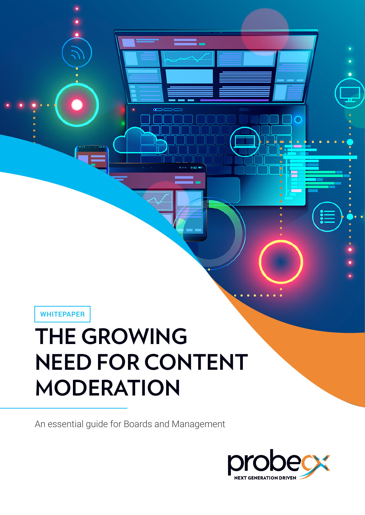**WHITEPAPER** 

# **THE GROWING NEED FOR CONTENT MODERATION**

An essential guide for Boards and Management

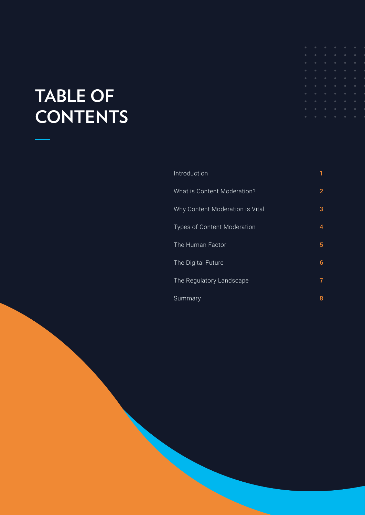## **TABLE OF CONTENTS**

| Introduction                       |   |
|------------------------------------|---|
| What is Content Moderation?        | 2 |
| Why Content Moderation is Vital    | 3 |
| <b>Types of Content Moderation</b> | 4 |
| The Human Factor                   | 5 |
| The Digital Future                 | 6 |
| The Regulatory Landscape           | 7 |
| Summary                            | 8 |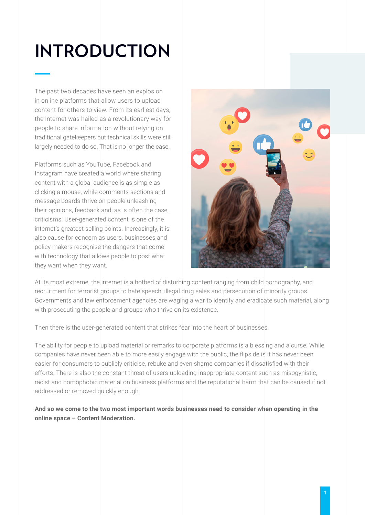## <span id="page-2-0"></span>**INTRODUCTION**

The past two decades have seen an explosion in online platforms that allow users to upload content for others to view. From its earliest days, the internet was hailed as a revolutionary way for people to share information without relying on traditional gatekeepers but technical skills were still largely needed to do so. That is no longer the case.

Platforms such as YouTube, Facebook and Instagram have created a world where sharing content with a global audience is as simple as clicking a mouse, while comments sections and message boards thrive on people unleashing their opinions, feedback and, as is often the case, criticisms. User-generated content is one of the internet's greatest selling points. Increasingly, it is also cause for concern as users, businesses and policy makers recognise the dangers that come with technology that allows people to post what they want when they want.



At its most extreme, the internet is a hotbed of disturbing content ranging from child pornography, and recruitment for terrorist groups to hate speech, illegal drug sales and persecution of minority groups. Governments and law enforcement agencies are waging a war to identify and eradicate such material, along with prosecuting the people and groups who thrive on its existence.

Then there is the user-generated content that strikes fear into the heart of businesses.

The ability for people to upload material or remarks to corporate platforms is a blessing and a curse. While companies have never been able to more easily engage with the public, the flipside is it has never been easier for consumers to publicly criticise, rebuke and even shame companies if dissatisfied with their efforts. There is also the constant threat of users uploading inappropriate content such as misogynistic, racist and homophobic material on business platforms and the reputational harm that can be caused if not addressed or removed quickly enough.

**And so we come to the two most important words businesses need to consider when operating in the online space – Content Moderation.**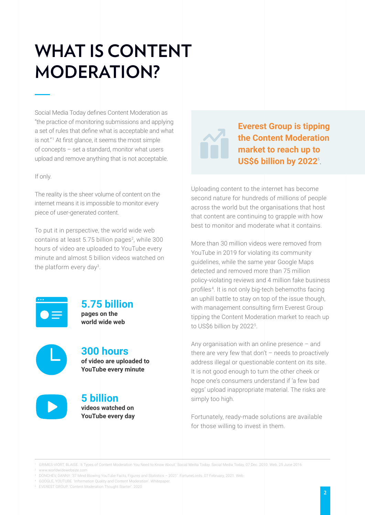### <span id="page-3-0"></span>**WHAT IS CONTENT MODERATION?**

Social Media Today defines Content Moderation as "the practice of monitoring submissions and applying a set of rules that define what is acceptable and what is not."1 At first glance, it seems the most simple of concepts – set a standard, monitor what users upload and remove anything that is not acceptable.

If only.

The reality is the sheer volume of content on the internet means it is impossible to monitor every piece of user-generated content.

To put it in perspective, the world wide web contains at least 5.75 billion pages<sup>2</sup>, while 300 hours of video are uploaded to YouTube every minute and almost 5 billion videos watched on the platform every day3.







### **300 hours of video are uploaded to YouTube every minute**



### **5 billion videos watched on YouTube every day**

### **Everest Group is tipping the Content Moderation market to reach up to**  US\$6 billion by 2022<sup>5</sup>.

Uploading content to the internet has become second nature for hundreds of millions of people across the world but the organisations that host that content are continuing to grapple with how best to monitor and moderate what it contains.

More than 30 million videos were removed from YouTube in 2019 for violating its community guidelines, while the same year Google Maps detected and removed more than 75 million policy-violating reviews and 4 million fake business profiles<sup>4</sup>. It is not only big-tech behemoths facing an uphill battle to stay on top of the issue though, with management consulting firm Everest Group tipping the Content Moderation market to reach up to US\$6 billion by 2022<sup>5</sup>.

Any organisation with an online presence – and there are very few that don't  $-$  needs to proactively address illegal or questionable content on its site. It is not good enough to turn the other cheek or hope one's consumers understand if 'a few bad eggs' upload inappropriate material. The risks are simply too high.

Fortunately, ready-made solutions are available for those willing to invest in them.

<sup>1</sup> GRIMES-VIORT, BLAISE. '6 Types of Content Moderation You Need to Know About.' Social Media Today. Social Media Today, 07 Dec. 2010. Web. 25 June 2016

<sup>2</sup> www.worldwidewebsize.com

- <sup>4</sup> GOOGLE, YOUTUBE. 'Information Quality and Content Moderation'. Whitepaper.
- <sup>5</sup> EVEREST GROUP. 'Content Moderation Thought Starter'. 2020

<sup>3</sup> DONCHEV, DANNY. '37 Mind Blowing YouTube Facts, Figures and Statistics – 2021'. FortuneLords. 07 February, 2021. Web.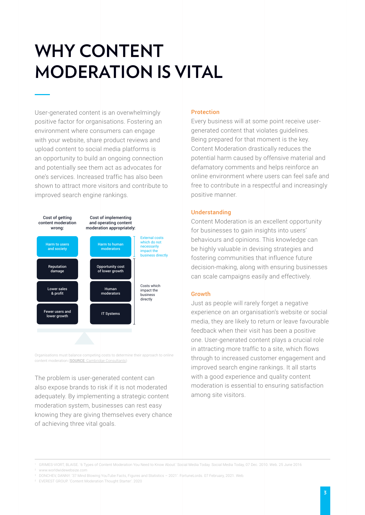### <span id="page-4-0"></span>**WHY CONTENT MODERATION IS VITAL**

User-generated content is an overwhelmingly positive factor for organisations. Fostering an environment where consumers can engage with your website, share product reviews and upload content to social media platforms is an opportunity to build an ongoing connection and potentially see them act as advocates for one's services. Increased traffic has also been shown to attract more visitors and contribute to improved search engine rankings.



Organisations must balance competing costs to determine their approach to online content moderation (SOURCE[: Cambridge Consultants](http://www.cambridgeconsultants.com/sites/default/files/uploaded-pdfs/Use%20of%20AI%20in%20online%20content%20moderation.pdf))

The problem is user-generated content can also expose brands to risk if it is not moderated adequately. By implementing a strategic content moderation system, businesses can rest easy knowing they are giving themselves every chance of achieving three vital goals.

#### Protection

Every business will at some point receive usergenerated content that violates guidelines. Being prepared for that moment is the key. Content Moderation drastically reduces the potential harm caused by offensive material and defamatory comments and helps reinforce an online environment where users can feel safe and free to contribute in a respectful and increasingly positive manner.

#### Understanding

Content Moderation is an excellent opportunity for businesses to gain insights into users' behaviours and opinions. This knowledge can be highly valuable in devising strategies and fostering communities that influence future decision-making, along with ensuring businesses can scale campaigns easily and effectively.

#### Growth

Just as people will rarely forget a negative experience on an organisation's website or social media, they are likely to return or leave favourable feedback when their visit has been a positive one. User-generated content plays a crucial role in attracting more traffic to a site, which flows through to increased customer engagement and improved search engine rankings. It all starts with a good experience and quality content moderation is essential to ensuring satisfaction among site visitors.

<sup>5</sup> EVEREST GROUP. 'Content Moderation Thought Starter'. 2020

<sup>1</sup> GRIMES-VIORT, BLAISE. '6 Types of Content Moderation You Need to Know About.' Social Media Today. Social Media Today, 07 Dec. 2010. Web. 25 June 2016

[www.worldwidewebsize.com](http://www.worldwidewebsize.com)

<sup>3</sup> DONCHEV, DANNY. '37 Mind Blowing YouTube Facts, Figures and Statistics – 2021'. FortuneLords. 07 February, 2021. Web.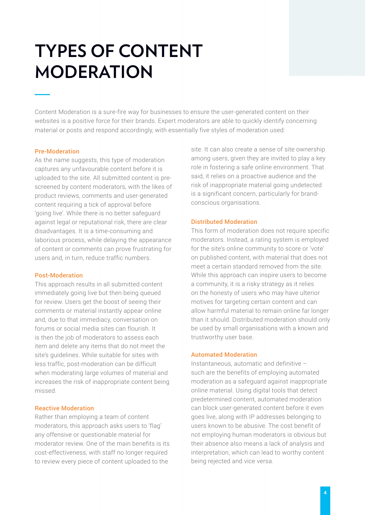### <span id="page-5-0"></span>**TYPES OF CONTENT MODERATION**

Content Moderation is a sure-fire way for businesses to ensure the user-generated content on their websites is a positive force for their brands. Expert moderators are able to quickly identify concerning material or posts and respond accordingly, with essentially five styles of moderation used:

#### Pre-Moderation

As the name suggests, this type of moderation captures any unfavourable content before it is uploaded to the site. All submitted content is prescreened by content moderators, with the likes of product reviews, comments and user-generated content requiring a tick of approval before 'going live'. While there is no better safeguard against legal or reputational risk, there are clear disadvantages. It is a time-consuming and laborious process, while delaying the appearance of content or comments can prove frustrating for users and, in turn, reduce traffic numbers.

#### Post-Moderation

This approach results in all submitted content immediately going live but then being queued for review. Users get the boost of seeing their comments or material instantly appear online and, due to that immediacy, conversation on forums or social media sites can flourish. It is then the job of moderators to assess each item and delete any items that do not meet the site's guidelines. While suitable for sites with less traffic, post-moderation can be difficult when moderating large volumes of material and increases the risk of inappropriate content being missed.

#### Reactive Moderation

Rather than employing a team of content moderators, this approach asks users to 'flag' any offensive or questionable material for moderator review. One of the main benefits is its cost-effectiveness, with staff no longer required to review every piece of content uploaded to the

site. It can also create a sense of site ownership among users, given they are invited to play a key role in fostering a safe online environment. That said, it relies on a proactive audience and the risk of inappropriate material going undetected is a significant concern, particularly for brandconscious organisations.

#### Distributed Moderation

This form of moderation does not require specific moderators. Instead, a rating system is employed for the site's online community to score or 'vote' on published content, with material that does not meet a certain standard removed from the site. While this approach can inspire users to become a community, it is a risky strategy as it relies on the honesty of users who may have ulterior motives for targeting certain content and can allow harmful material to remain online far longer than it should. Distributed moderation should only be used by small organisations with a known and trustworthy user base.

#### Automated Moderation

Instantaneous, automatic and definitive – such are the benefits of employing automated moderation as a safeguard against inappropriate online material. Using digital tools that detect predetermined content, automated moderation can block user-generated content before it even goes live, along with IP addresses belonging to users known to be abusive. The cost benefit of not employing human moderators is obvious but their absence also means a lack of analysis and interpretation, which can lead to worthy content being rejected and vice versa.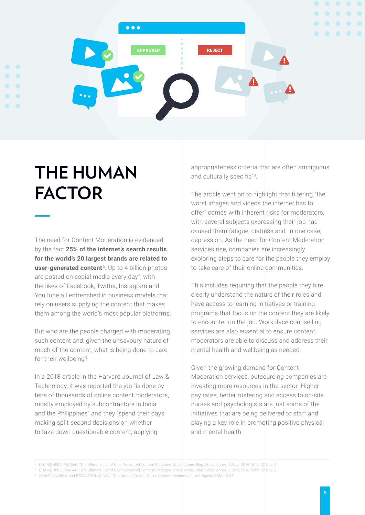<span id="page-6-0"></span>

## **THE HUMAN FACTOR**

The need for Content Moderation is evidenced by the fact **25% of the internet's search results for the world's 20 largest brands are related to user-generated content**<sup>6</sup>. Up to 4 billion photos are posted on social media every day<sup>7</sup>, with the likes of Facebook, Twitter, Instagram and YouTube all entrenched in business models that rely on users supplying the content that makes them among the world's most popular platforms.

But who are the people charged with moderating such content and, given the unsavoury nature of much of the content, what is being done to care for their wellbeing?

In a 2018 article in the Harvard Journal of Law & Technology, it was reported the job "is done by tens of thousands of online content moderators, mostly employed by subcontractors in India and the Philippines" and they "spend their days making split-second decisions on whether to take down questionable content, applying

appropriateness criteria that are often ambiguous and culturally specific"8.

The article went on to highlight that filtering "the worst images and videos the internet has to offer" comes with inherent risks for moderators, with several subjects expressing their job had caused them fatigue, distress and, in one case, depression. As the need for Content Moderation services rise, companies are increasingly exploring steps to care for the people they employ to take care of their online communities.

This includes requiring that the people they hire clearly understand the nature of their roles and have access to learning initiatives or training programs that focus on the content they are likely to encounter on the job. Workplace counselling services are also essential to ensure content moderators are able to discuss and address their mental health and wellbeing as needed.

Given the growing demand for Content Moderation services, outsourcing companies are investing more resources in the sector. Higher pay rates, better rostering and access to on-site nurses and psychologists are just some of the initiatives that are being delivered to staff and playing a key role in promoting positive physical and mental health.

<sup>6</sup> DHAMDHERE, PRASAD. 'The Ultimate List of User Generated Content Statistics.' Social Annex Blog. Social Annex, 1 Sept. 2016. Web. 02 Nov. 2

<sup>7</sup> DHAMDHERE, PRASAD. 'The Ultimate List of User Generated Content Statistics.' Social Annex Blog. Social Annex, 1 Sept. 2016. Web. 02 Nov. 2

<sup>8</sup> ARSHT, ANDREW and ETCOVITCH, DANIEL. 'The Human Cost of Online Content Moderation'. Jolt Digest, 2 Mar. 2018.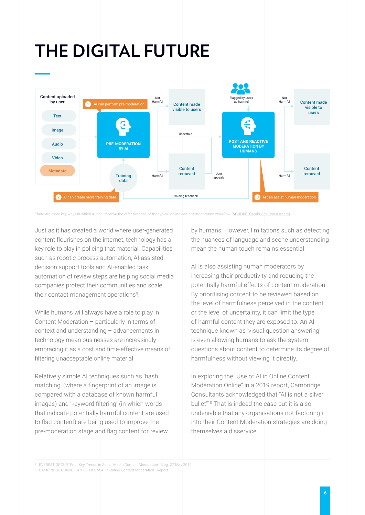## <span id="page-7-0"></span>**THE DIGITAL FUTURE**



There are three key ways in which AI can improve the effectiveness of the typical online content moderation workflow (SOURCE[: Cambridge Consultants](http://www.cambridgeconsultants.com/sites/default/files/uploaded-pdfs/Use%20of%20AI%20in%20online%20content%20moderation.pdf ))

Just as it has created a world where user-generated content flourishes on the internet, technology has a key role to play in policing that material. Capabilities such as robotic process automation, AI-assisted decision support tools and AI-enabled task automation of review steps are helping social media companies protect their communities and scale their contact management operations<sup>9</sup>.

While humans will always have a role to play in Content Moderation – particularly in terms of context and understanding – advancements in technology mean businesses are increasingly embracing it as a cost and time-effective means of filtering unacceptable online material.

Relatively simple AI techniques such as 'hash matching' (where a fingerprint of an image is compared with a database of known harmful images) and 'keyword filtering' (in which words that indicate potentially harmful content are used to flag content) are being used to improve the pre-moderation stage and flag content for review

by humans. However, limitations such as detecting the nuances of language and scene understanding mean the human touch remains essential.

AI is also assisting human moderators by increasing their productivity and reducing the potentially harmful effects of content moderation. By prioritising content to be reviewed based on the level of harmfulness perceived in the content or the level of uncertainty, it can limit the type of harmful content they are exposed to. An AI technique known as 'visual question answering' is even allowing humans to ask the system questions about content to determine its degree of harmfulness without viewing it directly.

In exploring the "Use of AI in Online Content Moderation Online" in a 2019 report, Cambridge Consultants acknowledged that "AI is not a silver bullet"10 That is indeed the case but it is also undeniable that any organisations not factoring it into their Content Moderation strategies are doing themselves a disservice.

<sup>9</sup> EVEREST GROUP. 'Four Key Trends in Social Media Content Moderation'. Blog. 27 May 2019.

<sup>10</sup> CAMBRIDGE CONSULTANTS. 'Use of AI in Online Content Moderation'. Report.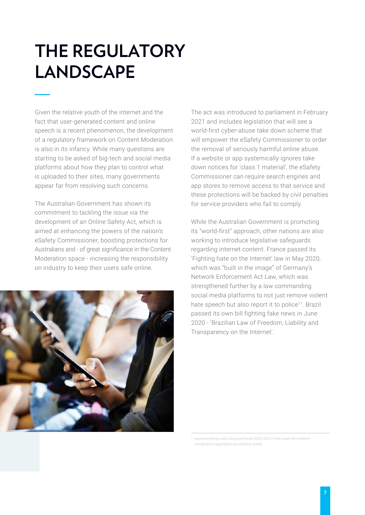### <span id="page-8-0"></span>**THE REGULATORY LANDSCAPE**

Given the relative youth of the internet and the fact that user-generated content and online speech is a recent phenomenon, the development of a regulatory framework on Content Moderation is also in its infancy. While many questions are starting to be asked of big-tech and social media platforms about how they plan to control what is uploaded to their sites, many governments appear far from resolving such concerns.

The Australian Government has shown its commitment to tackling the issue via the development of an Online Safety Act, which is aimed at enhancing the powers of the nation's eSafety Commissioner, boosting protections for Australians and - of great significance in the Content Moderation space - increasing the responsibility on industry to keep their users safe online.



The act was introduced to parliament in February 2021 and includes legislation that will see a world-first cyber-abuse take down scheme that will empower the eSafety Commissioner to order the removal of seriously harmful online abuse. If a website or app systemically ignores take down notices for 'class 1 material', the eSafety Commissioner can require search engines and app stores to remove access to that service and these protections will be backed by civil penalties for service providers who fail to comply.

While the Australian Government is promoting its "world-first" approach, other nations are also working to introduce legislative safeguards regarding internet content. France passed its 'Fighting hate on the Internet' law in May 2020, which was "built in the image" of Germany's Network Enforcement Act Law, which was strengthened further by a law commanding social media platforms to not just remove violent hate speech but also report it to police<sup>11</sup>. Brazil passed its own bill fighting fake news in June 2020 - 'Brazilian Law of Freedom, Liability and Transparency on the Internet'.

<sup>11</sup> [www.brookings.edu/blog/techtank/2020/09/21/the-push-for-content](http://www.brookings.edu/blog/techtank/2020/09/21/the-push-for-content-moderation-legislation-around-the-world)[moderation-legislation-around-the-world](http://www.brookings.edu/blog/techtank/2020/09/21/the-push-for-content-moderation-legislation-around-the-world)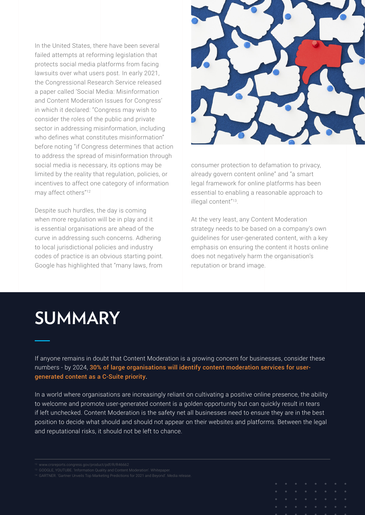<span id="page-9-0"></span>In the United States, there have been several failed attempts at reforming legislation that protects social media platforms from facing lawsuits over what users post. In early 2021, the Congressional Research Service released a paper called 'Social Media: Misinformation and Content Moderation Issues for Congress' in which it declared: "Congress may wish to consider the roles of the public and private sector in addressing misinformation, including who defines what constitutes misinformation" before noting "if Congress determines that action to address the spread of misinformation through social media is necessary, its options may be limited by the reality that regulation, policies, or incentives to affect one category of information may affect others"12

Despite such hurdles, the day is coming when more regulation will be in play and it is essential organisations are ahead of the curve in addressing such concerns. Adhering to local jurisdictional policies and industry codes of practice is an obvious starting point. Google has highlighted that "many laws, from



consumer protection to defamation to privacy, already govern content online" and "a smart legal framework for online platforms has been essential to enabling a reasonable approach to illegal content"13.

At the very least, any Content Moderation strategy needs to be based on a company's own guidelines for user-generated content, with a key emphasis on ensuring the content it hosts online does not negatively harm the organisation's reputation or brand image.

### **SUMMARY**

If anyone remains in doubt that Content Moderation is a growing concern for businesses, consider these numbers - by 2024, 30% of large organisations will identify content moderation services for usergenerated content as a C-Suite priority.

In a world where organisations are increasingly reliant on cultivating a positive online presence, the ability to welcome and promote user-generated content is a golden opportunity but can quickly result in tears if left unchecked. Content Moderation is the safety net all businesses need to ensure they are in the best position to decide what should and should not appear on their websites and platforms. Between the legal and reputational risks, it should not be left to chance.